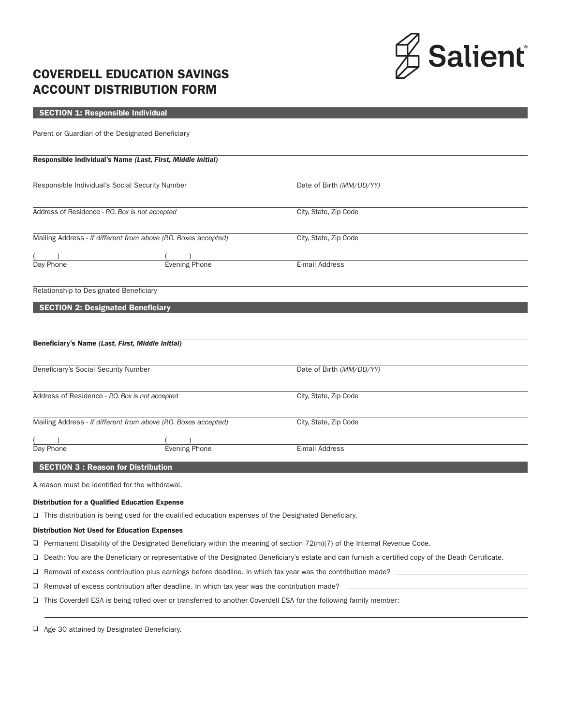

# COVERDELL EDUCATION SAVINGS ACCOUNT DISTRIBUTION FORM

## SECTION 1: Responsible Individual

Parent or Guardian of the Designated Beneficiary

#### Responsible Individual's Name *(Last, First, Middle Initial)*

| Responsible Individual's Social Security Number                 |                      | Date of Birth (MM/DD/YY) |  |
|-----------------------------------------------------------------|----------------------|--------------------------|--|
|                                                                 |                      |                          |  |
| Address of Residence - P.O. Box is not accepted                 |                      | City, State, Zip Code    |  |
|                                                                 |                      |                          |  |
| Mailing Address - If different from above (P.O. Boxes accepted) |                      | City, State, Zip Code    |  |
|                                                                 |                      |                          |  |
| Day Phone                                                       | <b>Evening Phone</b> | E-mail Address           |  |

Relationship to Designated Beneficiary

# SECTION 2: Designated Beneficiary

| Beneficiary's Name (Last, First, Middle Initial)                |                      |                          |  |  |
|-----------------------------------------------------------------|----------------------|--------------------------|--|--|
|                                                                 |                      |                          |  |  |
| Beneficiary's Social Security Number                            |                      | Date of Birth (MM/DD/YY) |  |  |
|                                                                 |                      |                          |  |  |
| Address of Residence - P.O. Box is not accepted                 |                      | City, State, Zip Code    |  |  |
|                                                                 |                      |                          |  |  |
| Mailing Address - If different from above (P.O. Boxes accepted) |                      | City, State, Zip Code    |  |  |
|                                                                 |                      |                          |  |  |
| Day Phone                                                       | <b>Evening Phone</b> | E-mail Address           |  |  |
|                                                                 |                      |                          |  |  |

### SECTION 3 : Reason for Distribution

A reason must be identified for the withdrawal.

#### Distribution for a Qualified Education Expense

 $\Box$  This distribution is being used for the qualified education expenses of the Designated Beneficiary.

#### Distribution Not Used for Education Expenses

 $\Box$  Permanent Disability of the Designated Beneficiary within the meaning of section 72(m)(7) of the Internal Revenue Code.

Death: You are the Beneficiary or representative of the Designated Beneficiary's estate and can furnish a certified copy of the Death Certificate.

- $\Box$  Removal of excess contribution plus earnings before deadline. In which tax year was the contribution made?  $\Box$
- $\Box$  Removal of excess contribution after deadline. In which tax year was the contribution made?  $\Box$
- This Coverdell ESA is being rolled over or transferred to another Coverdell ESA for the following family member:

 $\Box$  Age 30 attained by Designated Beneficiary.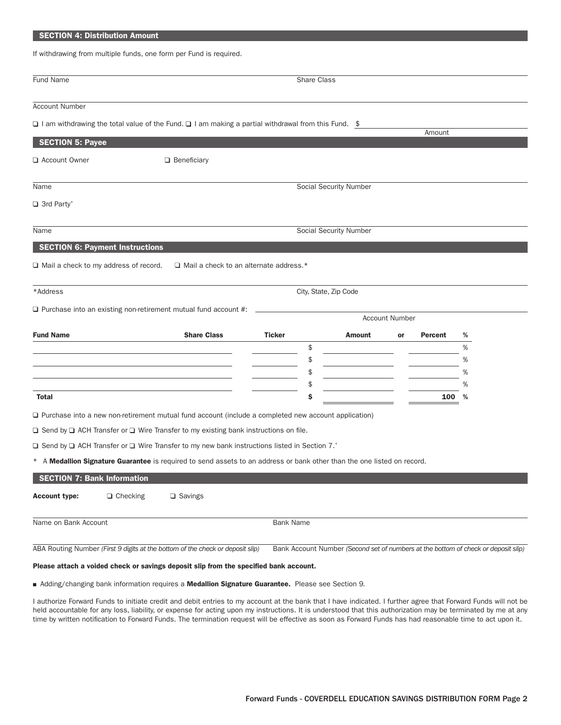## SECTION 4: Distribution Amount

If withdrawing from multiple funds, one form per Fund is required.

| <b>Fund Name</b>                             |                 |                                                                                                                         | <b>Share Class</b>  |                               |                       |         |                                                                                    |
|----------------------------------------------|-----------------|-------------------------------------------------------------------------------------------------------------------------|---------------------|-------------------------------|-----------------------|---------|------------------------------------------------------------------------------------|
| <b>Account Number</b>                        |                 |                                                                                                                         |                     |                               |                       |         |                                                                                    |
|                                              |                 | □ I am withdrawing the total value of the Fund. □ I am making a partial withdrawal from this Fund. \$                   |                     |                               |                       | Amount  |                                                                                    |
| <b>SECTION 5: Payee</b>                      |                 |                                                                                                                         |                     |                               |                       |         |                                                                                    |
| Account Owner                                |                 | $\Box$ Beneficiary                                                                                                      |                     |                               |                       |         |                                                                                    |
| Name                                         |                 |                                                                                                                         |                     | <b>Social Security Number</b> |                       |         |                                                                                    |
| $\Box$ 3rd Party*                            |                 |                                                                                                                         |                     |                               |                       |         |                                                                                    |
| Name                                         |                 |                                                                                                                         |                     | <b>Social Security Number</b> |                       |         |                                                                                    |
| <b>SECTION 6: Payment Instructions</b>       |                 |                                                                                                                         |                     |                               |                       |         |                                                                                    |
| $\Box$ Mail a check to my address of record. |                 | $\Box$ Mail a check to an alternate address.*                                                                           |                     |                               |                       |         |                                                                                    |
|                                              |                 |                                                                                                                         |                     |                               |                       |         |                                                                                    |
| *Address                                     |                 |                                                                                                                         |                     | City, State, Zip Code         |                       |         |                                                                                    |
|                                              |                 | $\Box$ Purchase into an existing non-retirement mutual fund account #:                                                  |                     |                               | <b>Account Number</b> |         |                                                                                    |
|                                              |                 |                                                                                                                         |                     |                               |                       |         |                                                                                    |
| <b>Fund Name</b>                             |                 | <b>Share Class</b>                                                                                                      | <b>Ticker</b><br>\$ | Amount                        | or                    | Percent | %<br>%                                                                             |
|                                              |                 |                                                                                                                         | \$                  |                               |                       |         | %                                                                                  |
|                                              |                 |                                                                                                                         | \$                  |                               |                       |         | %                                                                                  |
|                                              |                 |                                                                                                                         | \$                  |                               |                       |         | %                                                                                  |
| <b>Total</b>                                 |                 |                                                                                                                         | \$                  |                               |                       | 100     | %                                                                                  |
|                                              |                 | $\Box$ Purchase into a new non-retirement mutual fund account (include a completed new account application)             |                     |                               |                       |         |                                                                                    |
|                                              |                 | $\Box$ Send by $\Box$ ACH Transfer or $\Box$ Wire Transfer to my existing bank instructions on file.                    |                     |                               |                       |         |                                                                                    |
|                                              |                 | $\Box$ Send by $\Box$ ACH Transfer or $\Box$ Wire Transfer to my new bank instructions listed in Section 7.*            |                     |                               |                       |         |                                                                                    |
|                                              |                 | * A Medallion Signature Guarantee is required to send assets to an address or bank other than the one listed on record. |                     |                               |                       |         |                                                                                    |
| <b>SECTION 7: Bank Information</b>           |                 |                                                                                                                         |                     |                               |                       |         |                                                                                    |
| <b>Account type:</b>                         | $\Box$ Checking | $\Box$ Savings                                                                                                          |                     |                               |                       |         |                                                                                    |
| Name on Bank Account                         |                 |                                                                                                                         | <b>Bank Name</b>    |                               |                       |         |                                                                                    |
|                                              |                 | ABA Routing Number (First 9 digits at the bottom of the check or deposit slip)                                          |                     |                               |                       |         | Bank Account Number (Second set of numbers at the bottom of check or deposit slip) |
|                                              |                 | Please attach a voided check or savings deposit slip from the specified bank account.                                   |                     |                               |                       |         |                                                                                    |
|                                              |                 | Adding/changing bank information requires a Medallion Signature Guarantee. Please see Section 9.                        |                     |                               |                       |         |                                                                                    |

I authorize Forward Funds to initiate credit and debit entries to my account at the bank that I have indicated. I further agree that Forward Funds will not be held accountable for any loss, liability, or expense for acting upon my instructions. It is understood that this authorization may be terminated by me at any time by written notification to Forward Funds. The termination request will be effective as soon as Forward Funds has had reasonable time to act upon it.